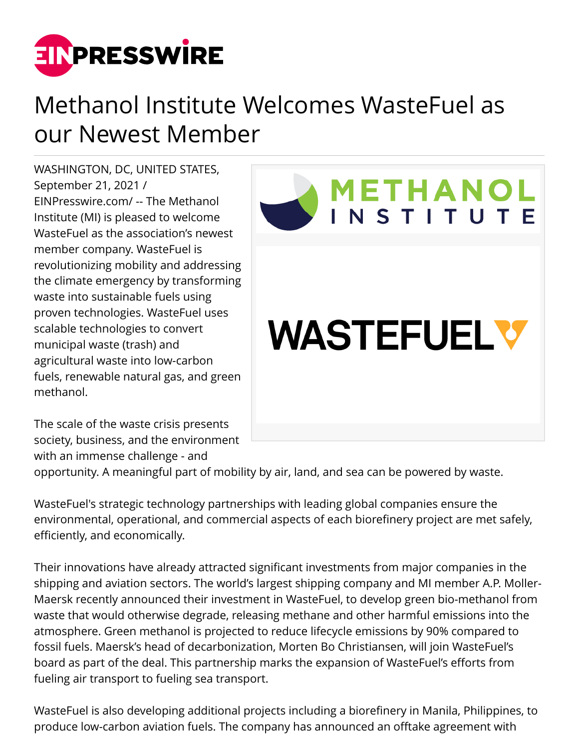

## Methanol Institute Welcomes WasteFuel as our Newest Member

WASHINGTON, DC, UNITED STATES, September 21, 2021 / [EINPresswire.com](http://www.einpresswire.com)/ -- The Methanol Institute (MI) is pleased to welcome WasteFuel as the association's newest member company. WasteFuel is revolutionizing mobility and addressing the climate emergency by transforming waste into sustainable fuels using proven technologies. WasteFuel uses scalable technologies to convert municipal waste (trash) and agricultural waste into low-carbon fuels, renewable natural gas, and green methanol.

The scale of the waste crisis presents society, business, and the environment with an immense challenge - and



opportunity. A meaningful part of mobility by air, land, and sea can be powered by waste.

WasteFuel's strategic technology partnerships with leading global companies ensure the environmental, operational, and commercial aspects of each biorefinery project are met safely, efficiently, and economically.

Their innovations have already attracted significant investments from major companies in the shipping and aviation sectors. The world's largest shipping company and MI member A.P. Moller-Maersk recently announced their investment in WasteFuel, to develop green bio-methanol from waste that would otherwise degrade, releasing methane and other harmful emissions into the atmosphere. Green methanol is projected to reduce lifecycle emissions by 90% compared to fossil fuels. Maersk's head of decarbonization, Morten Bo Christiansen, will join WasteFuel's board as part of the deal. This partnership marks the expansion of WasteFuel's efforts from fueling air transport to fueling sea transport.

WasteFuel is also developing additional projects including a biorefinery in Manila, Philippines, to produce low-carbon aviation fuels. The company has announced an offtake agreement with